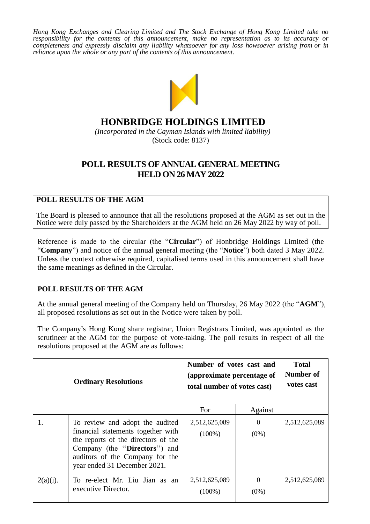*Hong Kong Exchanges and Clearing Limited and The Stock Exchange of Hong Kong Limited take no responsibility for the contents of this announcement, make no representation as to its accuracy or completeness and expressly disclaim any liability whatsoever for any loss howsoever arising from or in reliance upon the whole or any part of the contents of this announcement.*



# **HONBRIDGE HOLDINGS LIMITED**

*(Incorporated in the Cayman Islands with limited liability)* (Stock code: 8137)

## **POLL RESULTS OF ANNUAL GENERAL MEETING HELD ON 26 MAY 2022**

## **POLL RESULTS OF THE AGM**

The Board is pleased to announce that all the resolutions proposed at the AGM as set out in the Notice were duly passed by the Shareholders at the AGM held on 26 May 2022 by way of poll.

Reference is made to the circular (the "**Circular**") of Honbridge Holdings Limited (the "**Company**") and notice of the annual general meeting (the "**Notice**") both dated 3 May 2022. Unless the context otherwise required, capitalised terms used in this announcement shall have the same meanings as defined in the Circular.

## **POLL RESULTS OF THE AGM**

At the annual general meeting of the Company held on Thursday, 26 May 2022 (the "**AGM**"), all proposed resolutions as set out in the Notice were taken by poll.

The Company's Hong Kong share registrar, Union Registrars Limited, was appointed as the scrutineer at the AGM for the purpose of vote-taking. The poll results in respect of all the resolutions proposed at the AGM are as follows:

|             | <b>Ordinary Resolutions</b>                                                                                                                                                                                      | Number of votes cast and<br>(approximate percentage of<br>total number of votes cast) |                     | <b>Total</b><br>Number of<br>votes cast |
|-------------|------------------------------------------------------------------------------------------------------------------------------------------------------------------------------------------------------------------|---------------------------------------------------------------------------------------|---------------------|-----------------------------------------|
|             |                                                                                                                                                                                                                  | For                                                                                   | Against             |                                         |
|             | To review and adopt the audited<br>financial statements together with<br>the reports of the directors of the<br>Company (the "Directors") and<br>auditors of the Company for the<br>year ended 31 December 2021. | 2,512,625,089<br>$(100\%)$                                                            | $\Omega$<br>$(0\%)$ | 2,512,625,089                           |
| $2(a)(i)$ . | To re-elect Mr. Liu Jian as an<br>executive Director.                                                                                                                                                            | 2,512,625,089<br>$(100\%)$                                                            | $\Omega$<br>$(0\%)$ | 2,512,625,089                           |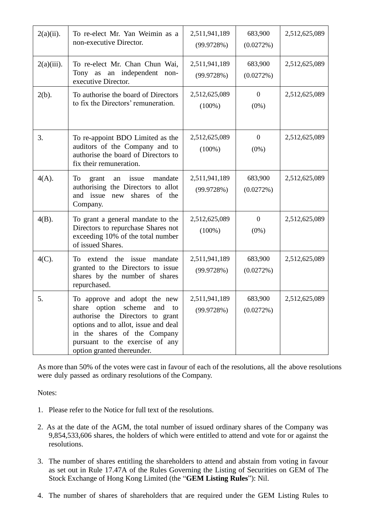| $2(a)(ii)$ .  | To re-elect Mr. Yan Weimin as a<br>non-executive Director.                                                                                                                                                                                       | 2,511,941,189<br>(99.9728%) | 683,900<br>(0.0272%)      | 2,512,625,089 |
|---------------|--------------------------------------------------------------------------------------------------------------------------------------------------------------------------------------------------------------------------------------------------|-----------------------------|---------------------------|---------------|
| $2(a)(iii)$ . | To re-elect Mr. Chan Chun Wai,<br>an independent<br>Tony as<br>non-<br>executive Director.                                                                                                                                                       | 2,511,941,189<br>(99.9728%) | 683,900<br>(0.0272%)      | 2,512,625,089 |
| $2(b)$ .      | To authorise the board of Directors<br>to fix the Directors' remuneration.                                                                                                                                                                       | 2,512,625,089<br>$(100\%)$  | $\overline{0}$<br>$(0\%)$ | 2,512,625,089 |
| 3.            | To re-appoint BDO Limited as the<br>auditors of the Company and to<br>authorise the board of Directors to<br>fix their remuneration.                                                                                                             | 2,512,625,089<br>$(100\%)$  | $\mathbf{0}$<br>$(0\%)$   | 2,512,625,089 |
| $4(A)$ .      | To<br>issue<br>mandate<br>grant<br>an<br>authorising the Directors to allot<br>and issue<br>shares<br>of<br>the<br>new<br>Company.                                                                                                               | 2,511,941,189<br>(99.9728%) | 683,900<br>(0.0272%)      | 2,512,625,089 |
| $4(B)$ .      | To grant a general mandate to the<br>Directors to repurchase Shares not<br>exceeding 10% of the total number<br>of issued Shares.                                                                                                                | 2,512,625,089<br>$(100\%)$  | $\mathbf{0}$<br>$(0\%)$   | 2,512,625,089 |
| $4(C)$ .      | extend the<br>To<br>issue<br>mandate<br>granted to the Directors to issue<br>shares by the number of shares<br>repurchased.                                                                                                                      | 2,511,941,189<br>(99.9728%) | 683,900<br>(0.0272%)      | 2,512,625,089 |
| 5.            | To approve and adopt the new<br>scheme<br>share option<br>and<br>to<br>authorise the Directors to grant<br>options and to allot, issue and deal<br>in the shares of the Company<br>pursuant to the exercise of any<br>option granted thereunder. | 2,511,941,189<br>(99.9728%) | 683,900<br>(0.0272%)      | 2,512,625,089 |

As more than 50% of the votes were cast in favour of each of the resolutions, all the above resolutions were duly passed as ordinary resolutions of the Company.

Notes:

- 1. Please refer to the Notice for full text of the resolutions.
- 2. As at the date of the AGM, the total number of issued ordinary shares of the Company was 9,854,533,606 shares, the holders of which were entitled to attend and vote for or against the resolutions.
- 3. The number of shares entitling the shareholders to attend and abstain from voting in favour as set out in Rule 17.47A of the Rules Governing the Listing of Securities on GEM of The Stock Exchange of Hong Kong Limited (the "**GEM Listing Rules**"): Nil.
- 4. The number of shares of shareholders that are required under the GEM Listing Rules to